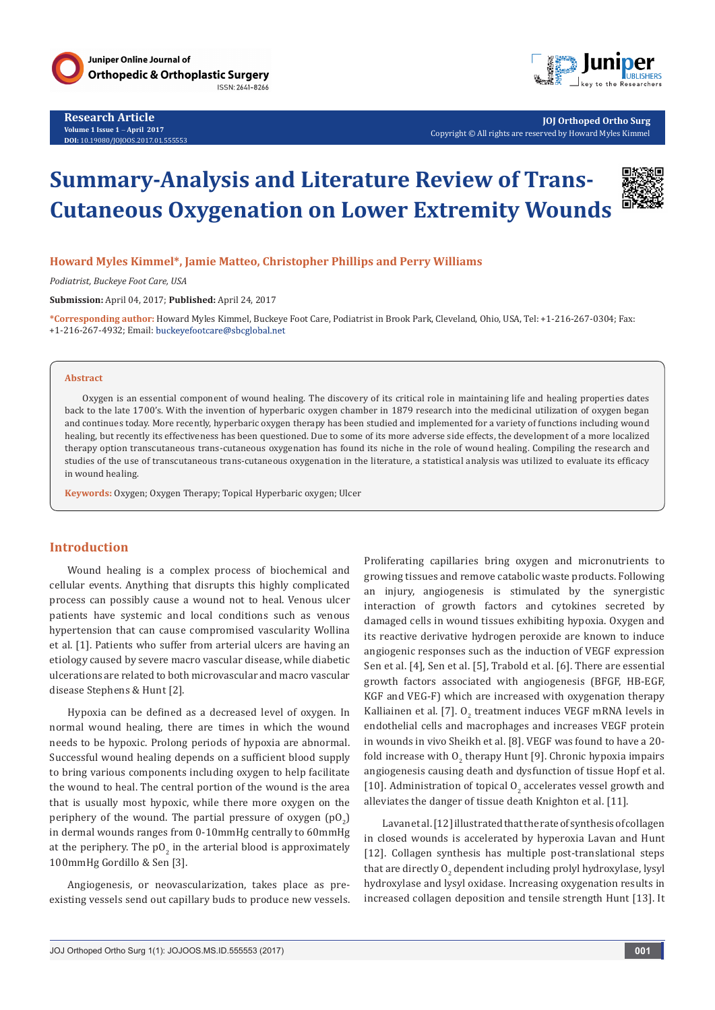

**Research Article Volume 1 Issue 1** - **April 2017 DOI:** [10.19080/JOJOOS.2017.01.555553](http://dx.doi.org/10.19080/JOJOOS.2017.01.555553
)



**JOJ Orthoped Ortho Surg** Copyright © All rights are reserved by Howard Myles Kimmel

# **Summary-Analysis and Literature Review of Trans-Cutaneous Oxygenation on Lower Extremity Wounds**



#### **Howard Myles Kimmel\*, Jamie Matteo, Christopher Phillips and Perry Williams**

*Podiatrist, Buckeye Foot Care, USA*

**Submission:** April 04, 2017; **Published:** April 24, 2017

**\*Corresponding author:** Howard Myles Kimmel, Buckeye Foot Care, Podiatrist in Brook Park, Cleveland, Ohio, USA, Tel: +1-216-267-0304; Fax: +1-216-267-4932; Email:

#### **Abstract**

Oxygen is an essential component of wound healing. The discovery of its critical role in maintaining life and healing properties dates back to the late 1700's. With the invention of hyperbaric oxygen chamber in 1879 research into the medicinal utilization of oxygen began and continues today. More recently, hyperbaric oxygen therapy has been studied and implemented for a variety of functions including wound healing, but recently its effectiveness has been questioned. Due to some of its more adverse side effects, the development of a more localized therapy option transcutaneous trans-cutaneous oxygenation has found its niche in the role of wound healing. Compiling the research and studies of the use of transcutaneous trans-cutaneous oxygenation in the literature, a statistical analysis was utilized to evaluate its efficacy in wound healing.

**Keywords:** Oxygen; Oxygen Therapy; Topical Hyperbaric oxygen; Ulcer

#### **Introduction**

Wound healing is a complex process of biochemical and cellular events. Anything that disrupts this highly complicated process can possibly cause a wound not to heal. Venous ulcer patients have systemic and local conditions such as venous hypertension that can cause compromised vascularity Wollina et al. [1]. Patients who suffer from arterial ulcers are having an etiology caused by severe macro vascular disease, while diabetic ulcerations are related to both microvascular and macro vascular disease Stephens & Hunt [2].

Hypoxia can be defined as a decreased level of oxygen. In normal wound healing, there are times in which the wound needs to be hypoxic. Prolong periods of hypoxia are abnormal. Successful wound healing depends on a sufficient blood supply to bring various components including oxygen to help facilitate the wound to heal. The central portion of the wound is the area that is usually most hypoxic, while there more oxygen on the periphery of the wound. The partial pressure of oxygen  $(pO_2)$ in dermal wounds ranges from 0-10mmHg centrally to 60mmHg at the periphery. The  $\mathsf{p0}_2$  in the arterial blood is approximately 100mmHg Gordillo & Sen [3].

Angiogenesis, or neovascularization, takes place as preexisting vessels send out capillary buds to produce new vessels. Proliferating capillaries bring oxygen and micronutrients to growing tissues and remove catabolic waste products. Following an injury, angiogenesis is stimulated by the synergistic interaction of growth factors and cytokines secreted by damaged cells in wound tissues exhibiting hypoxia. Oxygen and its reactive derivative hydrogen peroxide are known to induce angiogenic responses such as the induction of VEGF expression Sen et al. [4], Sen et al. [5], Trabold et al. [6]. There are essential growth factors associated with angiogenesis (BFGF, HB-EGF, KGF and VEG-F) which are increased with oxygenation therapy Kalliainen et al. [7].  $0_{2}$  treatment induces VEGF mRNA levels in endothelial cells and macrophages and increases VEGF protein in wounds in vivo Sheikh et al. [8]. VEGF was found to have a 20 fold increase with  $0_{2}$  therapy Hunt [9]. Chronic hypoxia impairs angiogenesis causing death and dysfunction of tissue Hopf et al. [10]. Administration of topical  $O_2$  accelerates vessel growth and alleviates the danger of tissue death Knighton et al. [11].

Lavan et al. [12] illustrated that the rate of synthesis of collagen in closed wounds is accelerated by hyperoxia Lavan and Hunt [12]. Collagen synthesis has multiple post-translational steps that are directly  $0_{2}$  dependent including prolyl hydroxylase, lysyl hydroxylase and lysyl oxidase. Increasing oxygenation results in increased collagen deposition and tensile strength Hunt [13]. It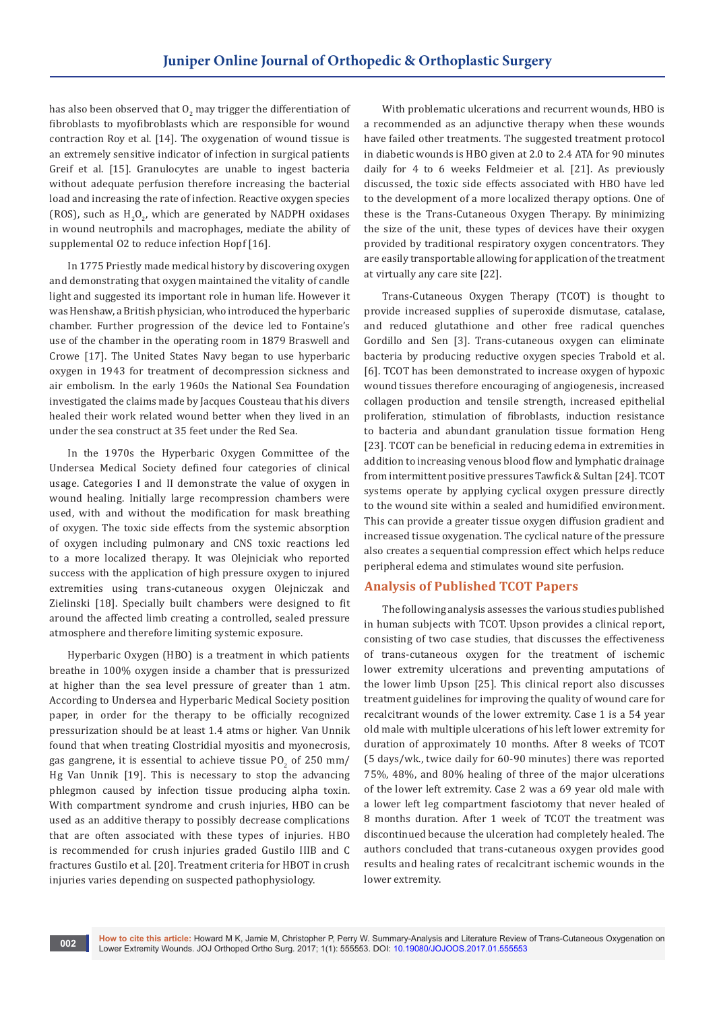has also been observed that  ${\tt U}_2$  may trigger the differentiation of fibroblasts to myofibroblasts which are responsible for wound contraction Roy et al. [14]. The oxygenation of wound tissue is an extremely sensitive indicator of infection in surgical patients Greif et al. [15]. Granulocytes are unable to ingest bacteria without adequate perfusion therefore increasing the bacterial load and increasing the rate of infection. Reactive oxygen species (ROS), such as  $H_2O_2$ , which are generated by NADPH oxidases in wound neutrophils and macrophages, mediate the ability of supplemental O2 to reduce infection Hopf [16].

In 1775 Priestly made medical history by discovering oxygen and demonstrating that oxygen maintained the vitality of candle light and suggested its important role in human life. However it was Henshaw, a British physician, who introduced the hyperbaric chamber. Further progression of the device led to Fontaine's use of the chamber in the operating room in 1879 Braswell and Crowe [17]. The United States Navy began to use hyperbaric oxygen in 1943 for treatment of decompression sickness and air embolism. In the early 1960s the National Sea Foundation investigated the claims made by Jacques Cousteau that his divers healed their work related wound better when they lived in an under the sea construct at 35 feet under the Red Sea.

In the 1970s the Hyperbaric Oxygen Committee of the Undersea Medical Society defined four categories of clinical usage. Categories I and II demonstrate the value of oxygen in wound healing. Initially large recompression chambers were used, with and without the modification for mask breathing of oxygen. The toxic side effects from the systemic absorption of oxygen including pulmonary and CNS toxic reactions led to a more localized therapy. It was Olejniciak who reported success with the application of high pressure oxygen to injured extremities using trans-cutaneous oxygen Olejniczak and Zielinski [18]. Specially built chambers were designed to fit around the affected limb creating a controlled, sealed pressure atmosphere and therefore limiting systemic exposure.

Hyperbaric Oxygen (HBO) is a treatment in which patients breathe in 100% oxygen inside a chamber that is pressurized at higher than the sea level pressure of greater than 1 atm. According to Undersea and Hyperbaric Medical Society position paper, in order for the therapy to be officially recognized pressurization should be at least 1.4 atms or higher. Van Unnik found that when treating Clostridial myositis and myonecrosis, gas gangrene, it is essential to achieve tissue PO<sub>2</sub> of 250 mm/ Hg Van Unnik [19]. This is necessary to stop the advancing phlegmon caused by infection tissue producing alpha toxin. With compartment syndrome and crush injuries, HBO can be used as an additive therapy to possibly decrease complications that are often associated with these types of injuries. HBO is recommended for crush injuries graded Gustilo IIIB and C fractures Gustilo et al. [20]. Treatment criteria for HBOT in crush injuries varies depending on suspected pathophysiology.

With problematic ulcerations and recurrent wounds, HBO is a recommended as an adjunctive therapy when these wounds have failed other treatments. The suggested treatment protocol in diabetic wounds is HBO given at 2.0 to 2.4 ATA for 90 minutes daily for 4 to 6 weeks Feldmeier et al. [21]. As previously discussed, the toxic side effects associated with HBO have led to the development of a more localized therapy options. One of these is the Trans-Cutaneous Oxygen Therapy. By minimizing the size of the unit, these types of devices have their oxygen provided by traditional respiratory oxygen concentrators. They are easily transportable allowing for application of the treatment at virtually any care site [22].

Trans-Cutaneous Oxygen Therapy (TCOT) is thought to provide increased supplies of superoxide dismutase, catalase, and reduced glutathione and other free radical quenches Gordillo and Sen [3]. Trans-cutaneous oxygen can eliminate bacteria by producing reductive oxygen species Trabold et al. [6]. TCOT has been demonstrated to increase oxygen of hypoxic wound tissues therefore encouraging of angiogenesis, increased collagen production and tensile strength, increased epithelial proliferation, stimulation of fibroblasts, induction resistance to bacteria and abundant granulation tissue formation Heng [23]. TCOT can be beneficial in reducing edema in extremities in addition to increasing venous blood flow and lymphatic drainage from intermittent positive pressures Tawfick & Sultan [24]. TCOT systems operate by applying cyclical oxygen pressure directly to the wound site within a sealed and humidified environment. This can provide a greater tissue oxygen diffusion gradient and increased tissue oxygenation. The cyclical nature of the pressure also creates a sequential compression effect which helps reduce peripheral edema and stimulates wound site perfusion.

## **Analysis of Published TCOT Papers**

The following analysis assesses the various studies published in human subjects with TCOT. Upson provides a clinical report, consisting of two case studies, that discusses the effectiveness of trans-cutaneous oxygen for the treatment of ischemic lower extremity ulcerations and preventing amputations of the lower limb Upson [25]. This clinical report also discusses treatment guidelines for improving the quality of wound care for recalcitrant wounds of the lower extremity. Case 1 is a 54 year old male with multiple ulcerations of his left lower extremity for duration of approximately 10 months. After 8 weeks of TCOT (5 days/wk., twice daily for 60-90 minutes) there was reported 75%, 48%, and 80% healing of three of the major ulcerations of the lower left extremity. Case 2 was a 69 year old male with a lower left leg compartment fasciotomy that never healed of 8 months duration. After 1 week of TCOT the treatment was discontinued because the ulceration had completely healed. The authors concluded that trans-cutaneous oxygen provides good results and healing rates of recalcitrant ischemic wounds in the lower extremity.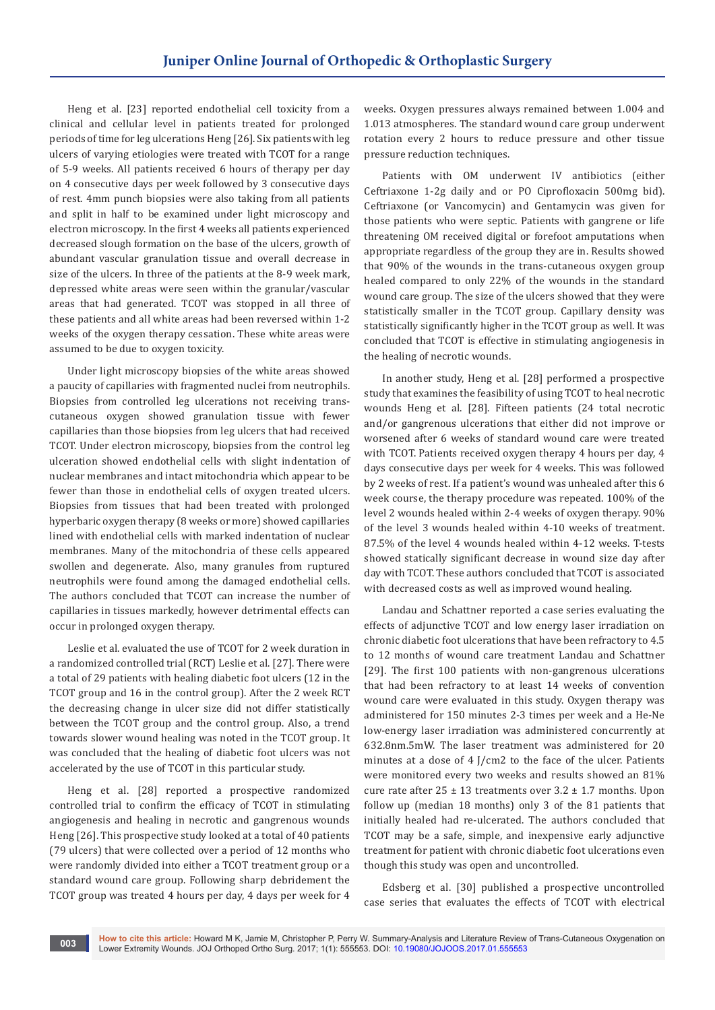Heng et al. [23] reported endothelial cell toxicity from a clinical and cellular level in patients treated for prolonged periods of time for leg ulcerations Heng [26]. Six patients with leg ulcers of varying etiologies were treated with TCOT for a range of 5-9 weeks. All patients received 6 hours of therapy per day on 4 consecutive days per week followed by 3 consecutive days of rest. 4mm punch biopsies were also taking from all patients and split in half to be examined under light microscopy and electron microscopy. In the first 4 weeks all patients experienced decreased slough formation on the base of the ulcers, growth of abundant vascular granulation tissue and overall decrease in size of the ulcers. In three of the patients at the 8-9 week mark, depressed white areas were seen within the granular/vascular areas that had generated. TCOT was stopped in all three of these patients and all white areas had been reversed within 1-2 weeks of the oxygen therapy cessation. These white areas were assumed to be due to oxygen toxicity.

Under light microscopy biopsies of the white areas showed a paucity of capillaries with fragmented nuclei from neutrophils. Biopsies from controlled leg ulcerations not receiving transcutaneous oxygen showed granulation tissue with fewer capillaries than those biopsies from leg ulcers that had received TCOT. Under electron microscopy, biopsies from the control leg ulceration showed endothelial cells with slight indentation of nuclear membranes and intact mitochondria which appear to be fewer than those in endothelial cells of oxygen treated ulcers. Biopsies from tissues that had been treated with prolonged hyperbaric oxygen therapy (8 weeks or more) showed capillaries lined with endothelial cells with marked indentation of nuclear membranes. Many of the mitochondria of these cells appeared swollen and degenerate. Also, many granules from ruptured neutrophils were found among the damaged endothelial cells. The authors concluded that TCOT can increase the number of capillaries in tissues markedly, however detrimental effects can occur in prolonged oxygen therapy.

Leslie et al. evaluated the use of TCOT for 2 week duration in a randomized controlled trial (RCT) Leslie et al. [27]. There were a total of 29 patients with healing diabetic foot ulcers (12 in the TCOT group and 16 in the control group). After the 2 week RCT the decreasing change in ulcer size did not differ statistically between the TCOT group and the control group. Also, a trend towards slower wound healing was noted in the TCOT group. It was concluded that the healing of diabetic foot ulcers was not accelerated by the use of TCOT in this particular study.

Heng et al. [28] reported a prospective randomized controlled trial to confirm the efficacy of TCOT in stimulating angiogenesis and healing in necrotic and gangrenous wounds Heng [26]. This prospective study looked at a total of 40 patients (79 ulcers) that were collected over a period of 12 months who were randomly divided into either a TCOT treatment group or a standard wound care group. Following sharp debridement the TCOT group was treated 4 hours per day, 4 days per week for 4 weeks. Oxygen pressures always remained between 1.004 and 1.013 atmospheres. The standard wound care group underwent rotation every 2 hours to reduce pressure and other tissue pressure reduction techniques.

Patients with OM underwent IV antibiotics (either Ceftriaxone 1-2g daily and or PO Ciprofloxacin 500mg bid). Ceftriaxone (or Vancomycin) and Gentamycin was given for those patients who were septic. Patients with gangrene or life threatening OM received digital or forefoot amputations when appropriate regardless of the group they are in. Results showed that 90% of the wounds in the trans-cutaneous oxygen group healed compared to only 22% of the wounds in the standard wound care group. The size of the ulcers showed that they were statistically smaller in the TCOT group. Capillary density was statistically significantly higher in the TCOT group as well. It was concluded that TCOT is effective in stimulating angiogenesis in the healing of necrotic wounds.

In another study, Heng et al. [28] performed a prospective study that examines the feasibility of using TCOT to heal necrotic wounds Heng et al. [28]. Fifteen patients (24 total necrotic and/or gangrenous ulcerations that either did not improve or worsened after 6 weeks of standard wound care were treated with TCOT. Patients received oxygen therapy 4 hours per day, 4 days consecutive days per week for 4 weeks. This was followed by 2 weeks of rest. If a patient's wound was unhealed after this 6 week course, the therapy procedure was repeated. 100% of the level 2 wounds healed within 2-4 weeks of oxygen therapy. 90% of the level 3 wounds healed within 4-10 weeks of treatment. 87.5% of the level 4 wounds healed within 4-12 weeks. T-tests showed statically significant decrease in wound size day after day with TCOT. These authors concluded that TCOT is associated with decreased costs as well as improved wound healing.

Landau and Schattner reported a case series evaluating the effects of adjunctive TCOT and low energy laser irradiation on chronic diabetic foot ulcerations that have been refractory to 4.5 to 12 months of wound care treatment Landau and Schattner [29]. The first 100 patients with non-gangrenous ulcerations that had been refractory to at least 14 weeks of convention wound care were evaluated in this study. Oxygen therapy was administered for 150 minutes 2-3 times per week and a He-Ne low-energy laser irradiation was administered concurrently at 632.8nm.5mW. The laser treatment was administered for 20 minutes at a dose of 4 J/cm2 to the face of the ulcer. Patients were monitored every two weeks and results showed an 81% cure rate after  $25 \pm 13$  treatments over  $3.2 \pm 1.7$  months. Upon follow up (median 18 months) only 3 of the 81 patients that initially healed had re-ulcerated. The authors concluded that TCOT may be a safe, simple, and inexpensive early adjunctive treatment for patient with chronic diabetic foot ulcerations even though this study was open and uncontrolled.

Edsberg et al. [30] published a prospective uncontrolled case series that evaluates the effects of TCOT with electrical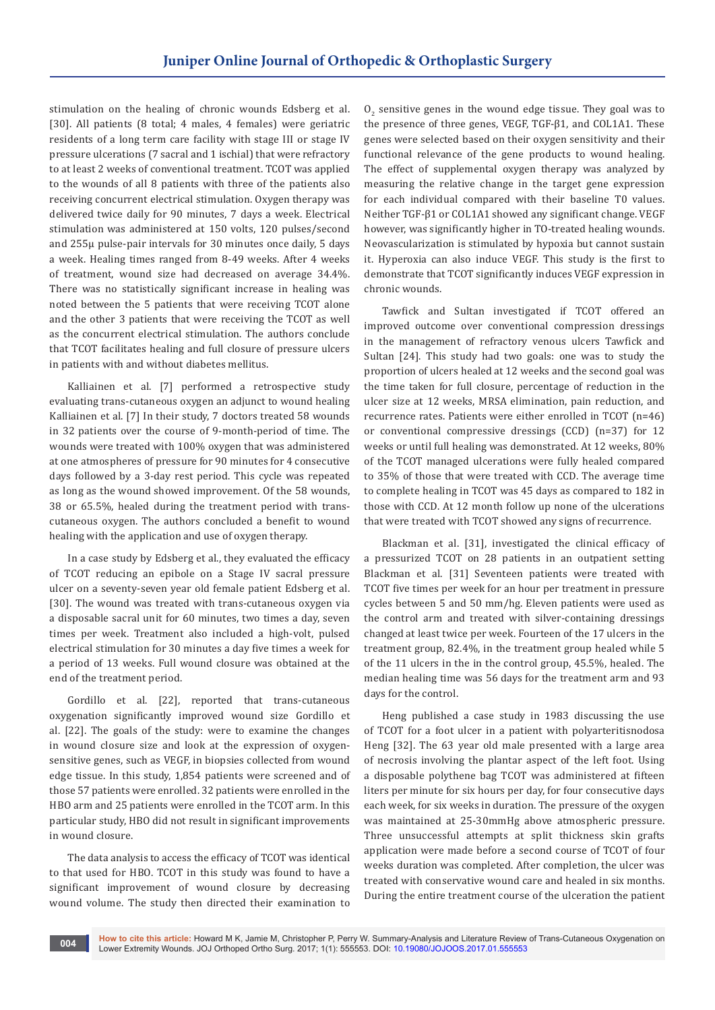stimulation on the healing of chronic wounds Edsberg et al. [30]. All patients (8 total; 4 males, 4 females) were geriatric residents of a long term care facility with stage III or stage IV pressure ulcerations (7 sacral and 1 ischial) that were refractory to at least 2 weeks of conventional treatment. TCOT was applied to the wounds of all 8 patients with three of the patients also receiving concurrent electrical stimulation. Oxygen therapy was delivered twice daily for 90 minutes, 7 days a week. Electrical stimulation was administered at 150 volts, 120 pulses/second and 255µ pulse-pair intervals for 30 minutes once daily, 5 days a week. Healing times ranged from 8-49 weeks. After 4 weeks of treatment, wound size had decreased on average 34.4%. There was no statistically significant increase in healing was noted between the 5 patients that were receiving TCOT alone and the other 3 patients that were receiving the TCOT as well as the concurrent electrical stimulation. The authors conclude that TCOT facilitates healing and full closure of pressure ulcers in patients with and without diabetes mellitus.

Kalliainen et al. [7] performed a retrospective study evaluating trans-cutaneous oxygen an adjunct to wound healing Kalliainen et al. [7] In their study, 7 doctors treated 58 wounds in 32 patients over the course of 9-month-period of time. The wounds were treated with 100% oxygen that was administered at one atmospheres of pressure for 90 minutes for 4 consecutive days followed by a 3-day rest period. This cycle was repeated as long as the wound showed improvement. Of the 58 wounds, 38 or 65.5%, healed during the treatment period with transcutaneous oxygen. The authors concluded a benefit to wound healing with the application and use of oxygen therapy.

In a case study by Edsberg et al., they evaluated the efficacy of TCOT reducing an epibole on a Stage IV sacral pressure ulcer on a seventy-seven year old female patient Edsberg et al. [30]. The wound was treated with trans-cutaneous oxygen via a disposable sacral unit for 60 minutes, two times a day, seven times per week. Treatment also included a high-volt, pulsed electrical stimulation for 30 minutes a day five times a week for a period of 13 weeks. Full wound closure was obtained at the end of the treatment period.

Gordillo et al. [22], reported that trans-cutaneous oxygenation significantly improved wound size Gordillo et al. [22]. The goals of the study: were to examine the changes in wound closure size and look at the expression of oxygensensitive genes, such as VEGF, in biopsies collected from wound edge tissue. In this study, 1,854 patients were screened and of those 57 patients were enrolled. 32 patients were enrolled in the HBO arm and 25 patients were enrolled in the TCOT arm. In this particular study, HBO did not result in significant improvements in wound closure.

The data analysis to access the efficacy of TCOT was identical to that used for HBO. TCOT in this study was found to have a significant improvement of wound closure by decreasing wound volume. The study then directed their examination to

 $O_2$  sensitive genes in the wound edge tissue. They goal was to the presence of three genes, VEGF, TGF-β1, and COL1A1. These genes were selected based on their oxygen sensitivity and their functional relevance of the gene products to wound healing. The effect of supplemental oxygen therapy was analyzed by measuring the relative change in the target gene expression for each individual compared with their baseline T0 values. Neither TGF-β1 or COL1A1 showed any significant change. VEGF however, was significantly higher in TO-treated healing wounds. Neovascularization is stimulated by hypoxia but cannot sustain it. Hyperoxia can also induce VEGF. This study is the first to demonstrate that TCOT significantly induces VEGF expression in chronic wounds.

Tawfick and Sultan investigated if TCOT offered an improved outcome over conventional compression dressings in the management of refractory venous ulcers Tawfick and Sultan [24]. This study had two goals: one was to study the proportion of ulcers healed at 12 weeks and the second goal was the time taken for full closure, percentage of reduction in the ulcer size at 12 weeks, MRSA elimination, pain reduction, and recurrence rates. Patients were either enrolled in TCOT (n=46) or conventional compressive dressings (CCD) (n=37) for 12 weeks or until full healing was demonstrated. At 12 weeks, 80% of the TCOT managed ulcerations were fully healed compared to 35% of those that were treated with CCD. The average time to complete healing in TCOT was 45 days as compared to 182 in those with CCD. At 12 month follow up none of the ulcerations that were treated with TCOT showed any signs of recurrence.

Blackman et al. [31], investigated the clinical efficacy of a pressurized TCOT on 28 patients in an outpatient setting Blackman et al. [31] Seventeen patients were treated with TCOT five times per week for an hour per treatment in pressure cycles between 5 and 50 mm/hg. Eleven patients were used as the control arm and treated with silver-containing dressings changed at least twice per week. Fourteen of the 17 ulcers in the treatment group, 82.4%, in the treatment group healed while 5 of the 11 ulcers in the in the control group, 45.5%, healed. The median healing time was 56 days for the treatment arm and 93 days for the control.

Heng published a case study in 1983 discussing the use of TCOT for a foot ulcer in a patient with polyarteritisnodosa Heng [32]. The 63 year old male presented with a large area of necrosis involving the plantar aspect of the left foot. Using a disposable polythene bag TCOT was administered at fifteen liters per minute for six hours per day, for four consecutive days each week, for six weeks in duration. The pressure of the oxygen was maintained at 25-30mmHg above atmospheric pressure. Three unsuccessful attempts at split thickness skin grafts application were made before a second course of TCOT of four weeks duration was completed. After completion, the ulcer was treated with conservative wound care and healed in six months. During the entire treatment course of the ulceration the patient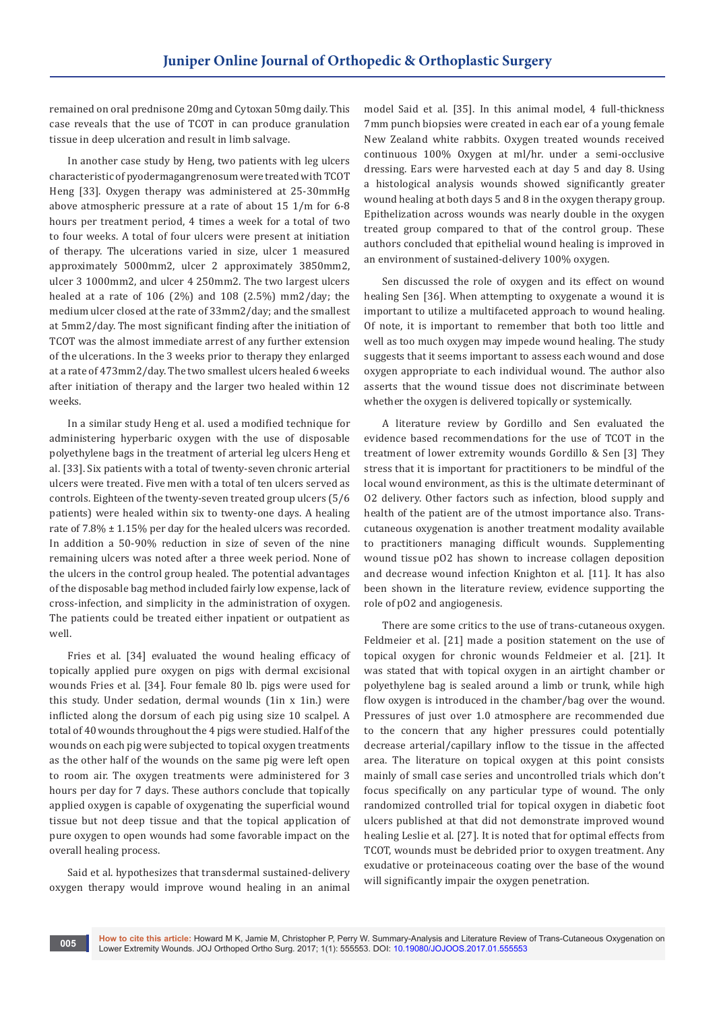remained on oral prednisone 20mg and Cytoxan 50mg daily. This case reveals that the use of TCOT in can produce granulation tissue in deep ulceration and result in limb salvage.

In another case study by Heng, two patients with leg ulcers characteristic of pyodermagangrenosum were treated with TCOT Heng [33]. Oxygen therapy was administered at 25-30mmHg above atmospheric pressure at a rate of about 15 1/m for 6-8 hours per treatment period, 4 times a week for a total of two to four weeks. A total of four ulcers were present at initiation of therapy. The ulcerations varied in size, ulcer 1 measured approximately 5000mm2, ulcer 2 approximately 3850mm2, ulcer 3 1000mm2, and ulcer 4 250mm2. The two largest ulcers healed at a rate of 106 (2%) and 108 (2.5%) mm2/day; the medium ulcer closed at the rate of 33mm2/day; and the smallest at 5mm2/day. The most significant finding after the initiation of TCOT was the almost immediate arrest of any further extension of the ulcerations. In the 3 weeks prior to therapy they enlarged at a rate of 473mm2/day. The two smallest ulcers healed 6 weeks after initiation of therapy and the larger two healed within 12 weeks.

In a similar study Heng et al. used a modified technique for administering hyperbaric oxygen with the use of disposable polyethylene bags in the treatment of arterial leg ulcers Heng et al. [33]. Six patients with a total of twenty-seven chronic arterial ulcers were treated. Five men with a total of ten ulcers served as controls. Eighteen of the twenty-seven treated group ulcers (5/6 patients) were healed within six to twenty-one days. A healing rate of  $7.8\% \pm 1.15\%$  per day for the healed ulcers was recorded. In addition a 50-90% reduction in size of seven of the nine remaining ulcers was noted after a three week period. None of the ulcers in the control group healed. The potential advantages of the disposable bag method included fairly low expense, lack of cross-infection, and simplicity in the administration of oxygen. The patients could be treated either inpatient or outpatient as well.

Fries et al. [34] evaluated the wound healing efficacy of topically applied pure oxygen on pigs with dermal excisional wounds Fries et al. [34]. Four female 80 lb. pigs were used for this study. Under sedation, dermal wounds (1in x 1in.) were inflicted along the dorsum of each pig using size 10 scalpel. A total of 40 wounds throughout the 4 pigs were studied. Half of the wounds on each pig were subjected to topical oxygen treatments as the other half of the wounds on the same pig were left open to room air. The oxygen treatments were administered for 3 hours per day for 7 days. These authors conclude that topically applied oxygen is capable of oxygenating the superficial wound tissue but not deep tissue and that the topical application of pure oxygen to open wounds had some favorable impact on the overall healing process.

Said et al. hypothesizes that transdermal sustained-delivery oxygen therapy would improve wound healing in an animal model Said et al. [35]. In this animal model, 4 full-thickness 7mm punch biopsies were created in each ear of a young female New Zealand white rabbits. Oxygen treated wounds received continuous 100% Oxygen at ml/hr. under a semi-occlusive dressing. Ears were harvested each at day 5 and day 8. Using a histological analysis wounds showed significantly greater wound healing at both days 5 and 8 in the oxygen therapy group. Epithelization across wounds was nearly double in the oxygen treated group compared to that of the control group. These authors concluded that epithelial wound healing is improved in an environment of sustained-delivery 100% oxygen.

Sen discussed the role of oxygen and its effect on wound healing Sen [36]. When attempting to oxygenate a wound it is important to utilize a multifaceted approach to wound healing. Of note, it is important to remember that both too little and well as too much oxygen may impede wound healing. The study suggests that it seems important to assess each wound and dose oxygen appropriate to each individual wound. The author also asserts that the wound tissue does not discriminate between whether the oxygen is delivered topically or systemically.

A literature review by Gordillo and Sen evaluated the evidence based recommendations for the use of TCOT in the treatment of lower extremity wounds Gordillo & Sen [3] They stress that it is important for practitioners to be mindful of the local wound environment, as this is the ultimate determinant of O2 delivery. Other factors such as infection, blood supply and health of the patient are of the utmost importance also. Transcutaneous oxygenation is another treatment modality available to practitioners managing difficult wounds. Supplementing wound tissue pO2 has shown to increase collagen deposition and decrease wound infection Knighton et al. [11]. It has also been shown in the literature review, evidence supporting the role of pO2 and angiogenesis.

There are some critics to the use of trans-cutaneous oxygen. Feldmeier et al. [21] made a position statement on the use of topical oxygen for chronic wounds Feldmeier et al. [21]. It was stated that with topical oxygen in an airtight chamber or polyethylene bag is sealed around a limb or trunk, while high flow oxygen is introduced in the chamber/bag over the wound. Pressures of just over 1.0 atmosphere are recommended due to the concern that any higher pressures could potentially decrease arterial/capillary inflow to the tissue in the affected area. The literature on topical oxygen at this point consists mainly of small case series and uncontrolled trials which don't focus specifically on any particular type of wound. The only randomized controlled trial for topical oxygen in diabetic foot ulcers published at that did not demonstrate improved wound healing Leslie et al. [27]. It is noted that for optimal effects from TCOT, wounds must be debrided prior to oxygen treatment. Any exudative or proteinaceous coating over the base of the wound will significantly impair the oxygen penetration.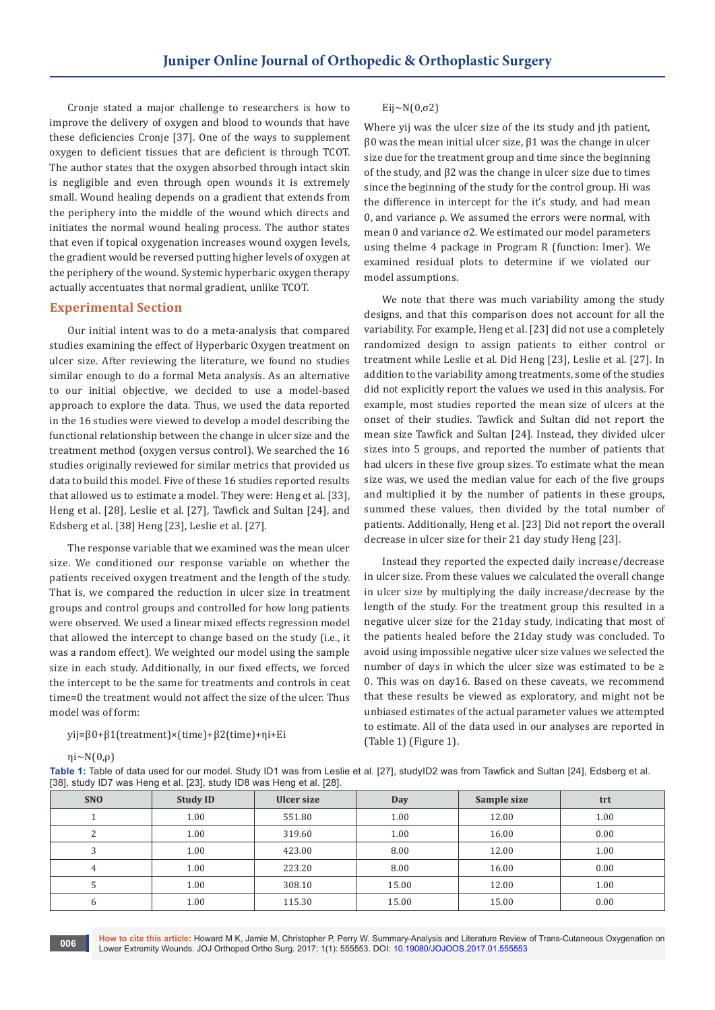Cronje stated a major challenge to researchers is how to improve the delivery of oxygen and blood to wounds that have these deficiencies Cronje [37]. One of the ways to supplement oxygen to deficient tissues that are deficient is through TCOT. The author states that the oxygen absorbed through intact skin is negligible and even through open wounds it is extremely small. Wound healing depends on a gradient that extends from the periphery into the middle of the wound which directs and initiates the normal wound healing process. The author states that even if topical oxygenation increases wound oxygen levels, the gradient would be reversed putting higher levels of oxygen at the periphery of the wound. Systemic hyperbaric oxygen therapy actually accentuates that normal gradient, unlike TCOT.

#### **Experimental Section**

Our initial intent was to do a meta-analysis that compared studies examining the effect of Hyperbaric Oxygen treatment on ulcer size. After reviewing the literature, we found no studies similar enough to do a formal Meta analysis. As an alternative to our initial objective, we decided to use a model-based approach to explore the data. Thus, we used the data reported in the 16 studies were viewed to develop a model describing the functional relationship between the change in ulcer size and the treatment method (oxygen versus control). We searched the 16 studies originally reviewed for similar metrics that provided us data to build this model. Five of these 16 studies reported results that allowed us to estimate a model. They were: Heng et al. [33], Heng et al. [28], Leslie et al. [27], Tawfick and Sultan [24], and Edsberg et al. [38] Heng [23], Leslie et al. [27].

The response variable that we examined was the mean ulcer size. We conditioned our response variable on whether the patients received oxygen treatment and the length of the study. That is, we compared the reduction in ulcer size in treatment groups and control groups and controlled for how long patients were observed. We used a linear mixed effects regression model that allowed the intercept to change based on the study (i.e., it was a random effect). We weighted our model using the sample size in each study. Additionally, in our fixed effects, we forced the intercept to be the same for treatments and controls in ceat time=0 the treatment would not affect the size of the ulcer. Thus model was of form:

#### yij=β0+β1(treatment)×(time)+β2(time)+ηi+Ei

ηi∼N(0,ρ)

#### Eij∼N $(0, \sigma 2)$

Where yij was the ulcer size of the its study and jth patient,  $β0$  was the mean initial ulcer size,  $β1$  was the change in ulcer size due for the treatment group and time since the beginning of the study, and β2 was the change in ulcer size due to times since the beginning of the study for the control group. Ηi was the difference in intercept for the it's study, and had mean 0, and variance ρ. We assumed the errors were normal, with mean 0 and variance σ2. We estimated our model parameters using thelme 4 package in Program R (function: lmer). We examined residual plots to determine if we violated our model assumptions.

We note that there was much variability among the study designs, and that this comparison does not account for all the variability. For example, Heng et al. [23] did not use a completely randomized design to assign patients to either control or treatment while Leslie et al. Did Heng [23], Leslie et al. [27]. In addition to the variability among treatments, some of the studies did not explicitly report the values we used in this analysis. For example, most studies reported the mean size of ulcers at the onset of their studies. Tawfick and Sultan did not report the mean size Tawfick and Sultan [24]. Instead, they divided ulcer sizes into 5 groups, and reported the number of patients that had ulcers in these five group sizes. To estimate what the mean size was, we used the median value for each of the five groups and multiplied it by the number of patients in these groups, summed these values, then divided by the total number of patients. Additionally, Heng et al. [23] Did not report the overall decrease in ulcer size for their 21 day study Heng [23].

Instead they reported the expected daily increase/decrease in ulcer size. From these values we calculated the overall change in ulcer size by multiplying the daily increase/decrease by the length of the study. For the treatment group this resulted in a negative ulcer size for the 21day study, indicating that most of the patients healed before the 21day study was concluded. To avoid using impossible negative ulcer size values we selected the number of days in which the ulcer size was estimated to be ≥ 0. This was on day16. Based on these caveats, we recommend that these results be viewed as exploratory, and might not be unbiased estimates of the actual parameter values we attempted to estimate. All of the data used in our analyses are reported in (Table 1) (Figure 1).

| Table 1: Table of data used for our model. Study ID1 was from Leslie et al. [27], studyID2 was from Tawfick and Sultan [24], Edsberg et al. |  |  |
|---------------------------------------------------------------------------------------------------------------------------------------------|--|--|
| [38], study ID7 was Heng et al. [23], study ID8 was Heng et al. [28].                                                                       |  |  |

| <b>SNO</b>   | <b>Study ID</b> | Ulcer size | Day   | Sample size | trt  |
|--------------|-----------------|------------|-------|-------------|------|
|              | 1.00            | 551.80     | 1.00  | 12.00       | 1.00 |
|              | 1.00            | 319.60     | 1.00  | 16.00       | 0.00 |
|              | 1.00            | 423.00     | 8.00  | 12.00       | 1.00 |
| 4            | 1.00            | 223.20     | 8.00  | 16.00       | 0.00 |
|              | 1.00            | 308.10     | 15.00 | 12.00       | 1.00 |
| <sub>b</sub> | 1.00            | 115.30     | 15.00 | 15.00       | 0.00 |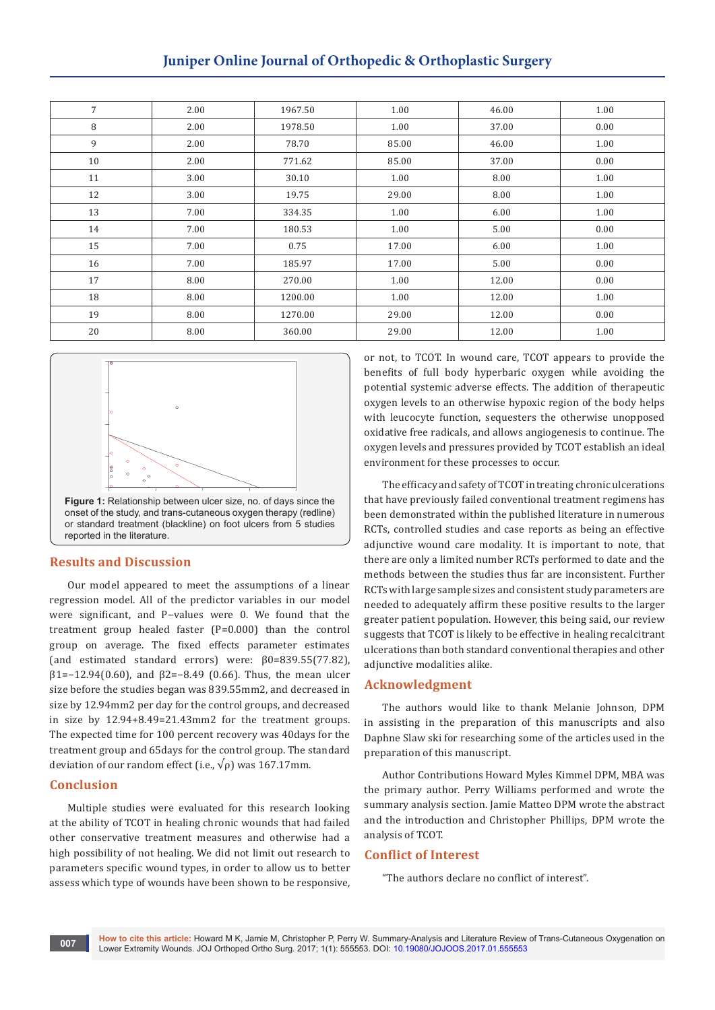# **Juniper Online Journal of Orthopedic & Orthoplastic Surgery**

| 7  | 2.00 | 1967.50 | 1.00  | 46.00 | 1.00 |
|----|------|---------|-------|-------|------|
| 8  | 2.00 | 1978.50 | 1.00  | 37.00 | 0.00 |
| 9  | 2.00 | 78.70   | 85.00 | 46.00 | 1.00 |
| 10 | 2.00 | 771.62  | 85.00 | 37.00 | 0.00 |
| 11 | 3.00 | 30.10   | 1.00  | 8.00  | 1.00 |
| 12 | 3.00 | 19.75   | 29.00 | 8.00  | 1.00 |
| 13 | 7.00 | 334.35  | 1.00  | 6.00  | 1.00 |
| 14 | 7.00 | 180.53  | 1.00  | 5.00  | 0.00 |
| 15 | 7.00 | 0.75    | 17.00 | 6.00  | 1.00 |
| 16 | 7.00 | 185.97  | 17.00 | 5.00  | 0.00 |
| 17 | 8.00 | 270.00  | 1.00  | 12.00 | 0.00 |
| 18 | 8.00 | 1200.00 | 1.00  | 12.00 | 1.00 |
| 19 | 8.00 | 1270.00 | 29.00 | 12.00 | 0.00 |
| 20 | 8.00 | 360.00  | 29.00 | 12.00 | 1.00 |



#### **Results and Discussion**

Our model appeared to meet the assumptions of a linear regression model. All of the predictor variables in our model were significant, and P−values were 0. We found that the treatment group healed faster (P=0.000) than the control group on average. The fixed effects parameter estimates (and estimated standard errors) were: β0=839.55(77.82), β1=−12.94(0.60), and β2=−8.49 (0.66). Thus, the mean ulcer size before the studies began was 839.55mm2, and decreased in size by 12.94mm2 per day for the control groups, and decreased in size by 12.94+8.49=21.43mm2 for the treatment groups. The expected time for 100 percent recovery was 40days for the treatment group and 65days for the control group. The standard deviation of our random effect (i.e.,  $\sqrt{\rho}$ ) was 167.17mm.

#### **Conclusion**

Multiple studies were evaluated for this research looking at the ability of TCOT in healing chronic wounds that had failed other conservative treatment measures and otherwise had a high possibility of not healing. We did not limit out research to parameters specific wound types, in order to allow us to better assess which type of wounds have been shown to be responsive,

or not, to TCOT. In wound care, TCOT appears to provide the benefits of full body hyperbaric oxygen while avoiding the potential systemic adverse effects. The addition of therapeutic oxygen levels to an otherwise hypoxic region of the body helps with leucocyte function, sequesters the otherwise unopposed oxidative free radicals, and allows angiogenesis to continue. The oxygen levels and pressures provided by TCOT establish an ideal environment for these processes to occur.

The efficacy and safety of TCOT in treating chronic ulcerations that have previously failed conventional treatment regimens has been demonstrated within the published literature in numerous RCTs, controlled studies and case reports as being an effective adjunctive wound care modality. It is important to note, that there are only a limited number RCTs performed to date and the methods between the studies thus far are inconsistent. Further RCTs with large sample sizes and consistent study parameters are needed to adequately affirm these positive results to the larger greater patient population. However, this being said, our review suggests that TCOT is likely to be effective in healing recalcitrant ulcerations than both standard conventional therapies and other adjunctive modalities alike.

#### **Acknowledgment**

The authors would like to thank Melanie Johnson, DPM in assisting in the preparation of this manuscripts and also Daphne Slaw ski for researching some of the articles used in the preparation of this manuscript.

Author Contributions Howard Myles Kimmel DPM, MBA was the primary author. Perry Williams performed and wrote the summary analysis section. Jamie Matteo DPM wrote the abstract and the introduction and Christopher Phillips, DPM wrote the analysis of TCOT.

#### **Conflict of Interest**

"The authors declare no conflict of interest".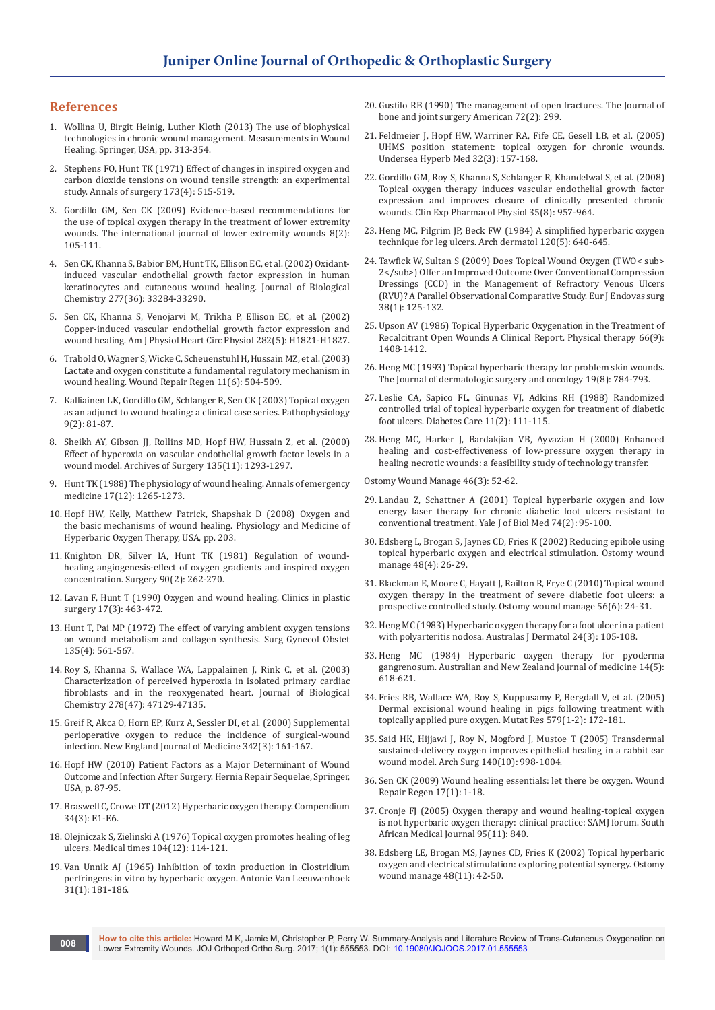#### **References**

- 1. [Wollina U, Birgit Heinig, Luther Kloth \(2013\) The use of biophysical](https://link.springer.com/chapter/10.1007%2F978-1-4471-2987-5_16)  [technologies in chronic wound management. Measurements in Wound](https://link.springer.com/chapter/10.1007%2F978-1-4471-2987-5_16)  [Healing. Springer, USA, pp. 313-354.](https://link.springer.com/chapter/10.1007%2F978-1-4471-2987-5_16)
- 2. [Stephens FO, Hunt TK \(1971\) Effect of changes in inspired oxygen and](https://www.ncbi.nlm.nih.gov/pubmed/5573643)  [carbon dioxide tensions on wound tensile strength: an experimental](https://www.ncbi.nlm.nih.gov/pubmed/5573643)  [study. Annals of surgery 173\(4\): 515-519.](https://www.ncbi.nlm.nih.gov/pubmed/5573643)
- 3. [Gordillo GM, Sen CK \(2009\) Evidence-based recommendations for](https://www.ncbi.nlm.nih.gov/pubmed/19443899)  [the use of topical oxygen therapy in the treatment of lower extremity](https://www.ncbi.nlm.nih.gov/pubmed/19443899)  [wounds. The international journal of lower extremity wounds 8\(2\):](https://www.ncbi.nlm.nih.gov/pubmed/19443899)  [105-111.](https://www.ncbi.nlm.nih.gov/pubmed/19443899)
- 4. Sen CK, Khanna S, Babior BM, Hunt TK, [Ellison EC, et al. \(2002\) Oxidant](https://www.ncbi.nlm.nih.gov/pubmed/12068011)[induced vascular endothelial growth factor expression in human](https://www.ncbi.nlm.nih.gov/pubmed/12068011)  [keratinocytes and cutaneous wound healing. Journal of Biological](https://www.ncbi.nlm.nih.gov/pubmed/12068011)  [Chemistry 277\(36\): 33284-33290.](https://www.ncbi.nlm.nih.gov/pubmed/12068011)
- 5. Sen CK, Khanna S, Venojarvi M, Trikha P, [Ellison EC, et al. \(2002\)](https://www.ncbi.nlm.nih.gov/pubmed/11959648)  [Copper-induced vascular endothelial growth factor expression and](https://www.ncbi.nlm.nih.gov/pubmed/11959648)  [wound healing. Am J Physiol Heart Circ Physiol 282\(5\): H1821-H1827.](https://www.ncbi.nlm.nih.gov/pubmed/11959648)
- 6. Trabold O, Wagner S,Wicke C, [Scheuenstuhl H,Hussain MZ, et al. \(2003\)](https://www.ncbi.nlm.nih.gov/pubmed/14617293)  [Lactate and oxygen constitute a fundamental regulatory mechanism in](https://www.ncbi.nlm.nih.gov/pubmed/14617293)  [wound healing. Wound Repair Regen 11\(6\): 504-509.](https://www.ncbi.nlm.nih.gov/pubmed/14617293)
- 7. [Kalliainen LK, Gordillo GM, Schlanger R, Sen CK \(2003\) Topical oxygen](https://www.ncbi.nlm.nih.gov/pubmed/14567939)  [as an adjunct to wound healing: a clinical case series. Pathophysiology](https://www.ncbi.nlm.nih.gov/pubmed/14567939)  [9\(2\): 81-87.](https://www.ncbi.nlm.nih.gov/pubmed/14567939)
- 8. Sheikh AY, Gibson JJ, Rollins MD, Hopf HW, [Hussain Z, et al. \(2000\)](https://www.ncbi.nlm.nih.gov/pubmed/11074883)  [Effect of hyperoxia on vascular endothelial growth factor levels in a](https://www.ncbi.nlm.nih.gov/pubmed/11074883)  [wound model. Archives of Surgery 135\(11\): 1293-1297.](https://www.ncbi.nlm.nih.gov/pubmed/11074883)
- 9. [Hunt TK \(1988\) The physiology of wound healing. Annals of emergency](http://www.annemergmed.com/article/S0196-0644(88)80351-2/abstract)  [medicine 17\(12\): 1265-1273](http://www.annemergmed.com/article/S0196-0644(88)80351-2/abstract).
- 10. [Hopf HW, Kelly, Matthew Patrick, Shapshak D \(2008\) Oxygen and](https://vivo.upenn.edu/vivo/display/citfd403875)  [the basic mechanisms of wound healing. Physiology and Medicine of](https://vivo.upenn.edu/vivo/display/citfd403875)  [Hyperbaric Oxygen Therapy, USA, pp. 203.](https://vivo.upenn.edu/vivo/display/citfd403875)
- 11. [Knighton DR, Silver IA, Hunt TK \(1981\) Regulation of wound](https://www.ncbi.nlm.nih.gov/pubmed/6166996)[healing angiogenesis-effect of oxygen gradients and inspired oxygen](https://www.ncbi.nlm.nih.gov/pubmed/6166996)  [concentration. Surgery 90\(2\): 262-270.](https://www.ncbi.nlm.nih.gov/pubmed/6166996)
- 12. [Lavan F, Hunt T \(1990\) Oxygen and wound healing. Clinics in plastic](https://www.ncbi.nlm.nih.gov/pubmed/2199137)  [surgery 17\(3\): 463-472.](https://www.ncbi.nlm.nih.gov/pubmed/2199137)
- 13. [Hunt T, Pai MP \(1972\) The effect of varying ambient oxygen tensions](https://www.ncbi.nlm.nih.gov/pubmed/5077722)  [on wound metabolism and collagen synthesis. Surg Gynecol Obstet](https://www.ncbi.nlm.nih.gov/pubmed/5077722)  [135\(4\): 561-567.](https://www.ncbi.nlm.nih.gov/pubmed/5077722)
- 14. Roy S, Khanna S, Wallace WA, Lappalainen J, [Rink C, et al. \(2003\)](https://www.ncbi.nlm.nih.gov/pubmed/12952964)  [Characterization of perceived hyperoxia in isolated primary cardiac](https://www.ncbi.nlm.nih.gov/pubmed/12952964)  [fibroblasts and in the reoxygenated heart. Journal of Biological](https://www.ncbi.nlm.nih.gov/pubmed/12952964)  [Chemistry 278\(47\): 47129-47135.](https://www.ncbi.nlm.nih.gov/pubmed/12952964)
- 15. [Greif R, Akca O, Horn EP, Kurz A, Sessler DI, et al. \(2000\) Supplemental](https://www.ncbi.nlm.nih.gov/pubmed/10639541)  [perioperative oxygen to reduce the incidence of surgical-wound](https://www.ncbi.nlm.nih.gov/pubmed/10639541)  [infection. New England Journal of Medicine 342\(3\): 161-167.](https://www.ncbi.nlm.nih.gov/pubmed/10639541)
- 16. [Hopf HW \(2010\) Patient Factors as a Major Determinant of Wound](https://link.springer.com/chapter/10.1007%2F978-3-642-11541-7_12)  [Outcome and Infection After Surgery. Hernia Repair Sequelae, Springer,](https://link.springer.com/chapter/10.1007%2F978-3-642-11541-7_12)  [USA, p. 87-95](https://link.springer.com/chapter/10.1007%2F978-3-642-11541-7_12).
- 17. [Braswell C, Crowe DT \(2012\) Hyperbaric oxygen therapy. Compendium](https://www.researchgate.net/publication/223969396_Hyperbaric_oxygen_therapy)  [34\(3\): E1-E6.](https://www.researchgate.net/publication/223969396_Hyperbaric_oxygen_therapy)
- 18. [Olejniczak S, Zielinski A \(1976\) Topical oxygen promotes healing of leg](https://www.ncbi.nlm.nih.gov/pubmed/994784)  [ulcers. Medical times 104\(12\): 114-121.](https://www.ncbi.nlm.nih.gov/pubmed/994784)
- 19. [Van Unnik AJ \(1965\) Inhibition of toxin production in Clostridium](https://www.ncbi.nlm.nih.gov/pubmed/14315638)  [perfringens in vitro by hyperbaric oxygen. Antonie Van Leeuwenhoek](https://www.ncbi.nlm.nih.gov/pubmed/14315638)  [31\(1\): 181-186.](https://www.ncbi.nlm.nih.gov/pubmed/14315638)
- 20. Gustilo RB (1990) The management of open fractures. The Journal of bone and joint surgery American 72(2): 299.
- 21. [Feldmeier J, Hopf HW, Warriner RA, Fife CE, Gesell LB, et al. \(2005\)](https://www.ncbi.nlm.nih.gov/pubmed/16119307)  [UHMS position statement: topical oxygen for chronic wounds.](https://www.ncbi.nlm.nih.gov/pubmed/16119307)  [Undersea Hyperb Med 32\(3\): 157-168.](https://www.ncbi.nlm.nih.gov/pubmed/16119307)
- 22. [Gordillo GM, Roy S, Khanna S, Schlanger R, Khandelwal S, et al. \(2008\)](https://www.ncbi.nlm.nih.gov/pubmed/18430064)  [Topical oxygen therapy induces vascular endothelial growth factor](https://www.ncbi.nlm.nih.gov/pubmed/18430064)  [expression and improves closure of clinically presented chronic](https://www.ncbi.nlm.nih.gov/pubmed/18430064)  [wounds. Clin Exp Pharmacol Physiol 35\(8\): 957-964.](https://www.ncbi.nlm.nih.gov/pubmed/18430064)
- 23. [Heng MC, Pilgrim JP, Beck FW \(1984\) A simplified hyperbaric oxygen](https://www.ncbi.nlm.nih.gov/pubmed/6721526)  [technique for leg ulcers. Arch dermatol 120\(5\): 640-645.](https://www.ncbi.nlm.nih.gov/pubmed/6721526)
- 24. [Tawfick W, Sultan S \(2009\) Does Topical Wound Oxygen \(TWO< sub>](https://www.ncbi.nlm.nih.gov/pubmed/19464933)  [2</sub>\) Offer an Improved Outcome Over Conventional Compression](https://www.ncbi.nlm.nih.gov/pubmed/19464933)  [Dressings \(CCD\) in the Management of Refractory Venous Ulcers](https://www.ncbi.nlm.nih.gov/pubmed/19464933)  [\(RVU\)? A Parallel Observational Comparative Study. Eur J Endovas surg](https://www.ncbi.nlm.nih.gov/pubmed/19464933)  [38\(1\): 125-132.](https://www.ncbi.nlm.nih.gov/pubmed/19464933)
- 25. [Upson AV \(1986\) Topical Hyperbaric Oxygenation in the Treatment of](https://www.ncbi.nlm.nih.gov/pubmed/3749275)  [Recalcitrant Open Wounds A Clinical Report. Physical therapy 66\(9\):](https://www.ncbi.nlm.nih.gov/pubmed/3749275)  [1408-1412.](https://www.ncbi.nlm.nih.gov/pubmed/3749275)
- 26. [Heng MC \(1993\) Topical hyperbaric therapy for problem skin wounds.](http://journals.lww.com/dermatologicsurgery/Abstract/1993/08000/Topical_Hyperbaric_Therapy_for_Problem_Skin.15.aspx)  [The Journal of dermatologic surgery and oncology 19\(8\): 784-793.](http://journals.lww.com/dermatologicsurgery/Abstract/1993/08000/Topical_Hyperbaric_Therapy_for_Problem_Skin.15.aspx)
- 27. [Leslie CA, Sapico FL, Ginunas VJ, Adkins RH \(1988\) Randomized](https://www.ncbi.nlm.nih.gov/pubmed/3289861)  [controlled trial of topical hyperbaric oxygen for treatment of diabetic](https://www.ncbi.nlm.nih.gov/pubmed/3289861)  [foot ulcers. Diabetes Care 11\(2\): 111-115.](https://www.ncbi.nlm.nih.gov/pubmed/3289861)
- 28. [Heng MC, Harker J, Bardakjian VB, Ayvazian H \(2000\) Enhanced](https://www.ncbi.nlm.nih.gov/pubmed/10788918)  [healing and cost-effectiveness of low-pressure oxygen therapy in](https://www.ncbi.nlm.nih.gov/pubmed/10788918)  [healing necrotic wounds: a feasibility study of technology transfer.](https://www.ncbi.nlm.nih.gov/pubmed/10788918)

[Ostomy Wound Manage 46\(3\): 52-62.](https://www.ncbi.nlm.nih.gov/pubmed/10788918)

- 29. [Landau Z, Schattner A \(2001\) Topical hyperbaric oxygen and low](https://www.ncbi.nlm.nih.gov/pmc/articles/PMC2588691/)  [energy laser therapy for chronic diabetic foot ulcers resistant to](https://www.ncbi.nlm.nih.gov/pmc/articles/PMC2588691/)  [conventional treatment. Yale J of Biol Med 74\(2\): 95-100.](https://www.ncbi.nlm.nih.gov/pmc/articles/PMC2588691/)
- 30. [Edsberg L, Brogan S, Jaynes CD, Fries K \(2002\) Reducing epibole using](https://www.ncbi.nlm.nih.gov/pubmed/11993057)  [topical hyperbaric oxygen and electrical stimulation. Ostomy wound](https://www.ncbi.nlm.nih.gov/pubmed/11993057)  [manage 48\(4\): 26-29.](https://www.ncbi.nlm.nih.gov/pubmed/11993057)
- 31. [Blackman E, Moore C, Hayatt J, Railton R, Frye C \(2010\) Topical wound](https://www.ncbi.nlm.nih.gov/pubmed/20567051)  [oxygen therapy in the treatment of severe diabetic foot ulcers: a](https://www.ncbi.nlm.nih.gov/pubmed/20567051)  [prospective controlled study. Ostomy wound manage 56\(6\): 24-31.](https://www.ncbi.nlm.nih.gov/pubmed/20567051)
- 32. [Heng MC \(1983\) Hyperbaric oxygen therapy for a foot ulcer in a patient](https://www.ncbi.nlm.nih.gov/pubmed/6144302)  [with polyarteritis nodosa. Australas J Dermatol 24\(3\): 105-108.](https://www.ncbi.nlm.nih.gov/pubmed/6144302)
- 33. [Heng MC \(1984\) Hyperbaric oxygen therapy for pyoderma](https://www.ncbi.nlm.nih.gov/pubmed/6597707)  [gangrenosum. Australian and New Zealand journal of medicine 14\(5\):](https://www.ncbi.nlm.nih.gov/pubmed/6597707)  [618-621.](https://www.ncbi.nlm.nih.gov/pubmed/6597707)
- 34. Fries RB, Wallace WA, Roy S, Kuppusamy P, [Bergdall V, et al. \(2005\)](https://www.ncbi.nlm.nih.gov/pubmed/16105672)  [Dermal excisional wound healing in pigs following treatment with](https://www.ncbi.nlm.nih.gov/pubmed/16105672)  [topically applied pure oxygen. Mutat Res 579\(1-2\): 172-181.](https://www.ncbi.nlm.nih.gov/pubmed/16105672)
- 35. Said HK, Hijjawi J, Roy N, Mogford J, [Mustoe T \(2005\) Transdermal](https://www.ncbi.nlm.nih.gov/pubmed/16230552)  [sustained-delivery oxygen improves epithelial healing in a rabbit ear](https://www.ncbi.nlm.nih.gov/pubmed/16230552)  [wound model. Arch Surg 140\(10\): 998-1004.](https://www.ncbi.nlm.nih.gov/pubmed/16230552)
- 36. [Sen CK \(2009\) Wound healing essentials: let there be oxygen. Wound](https://www.ncbi.nlm.nih.gov/pubmed/19152646)  [Repair Regen 17\(1\): 1-18.](https://www.ncbi.nlm.nih.gov/pubmed/19152646)
- 37. [Cronje FJ \(2005\) Oxygen therapy and wound healing-topical oxygen](http://journals.co.za/content/m_samj/95/11/EJC68377)  [is not hyperbaric oxygen therapy: clinical practice: SAMJ forum. South](http://journals.co.za/content/m_samj/95/11/EJC68377)  [African Medical Journal 95\(11\): 840.](http://journals.co.za/content/m_samj/95/11/EJC68377)
- 38. [Edsberg LE, Brogan MS, Jaynes CD, Fries K \(2002\) Topical hyperbaric](https://www.ncbi.nlm.nih.gov/pubmed/12426451?dopt=Abstract)  [oxygen and electrical stimulation: exploring potential synergy. Ostomy](https://www.ncbi.nlm.nih.gov/pubmed/12426451?dopt=Abstract)  [wound manage 48\(11\): 42-50.](https://www.ncbi.nlm.nih.gov/pubmed/12426451?dopt=Abstract)